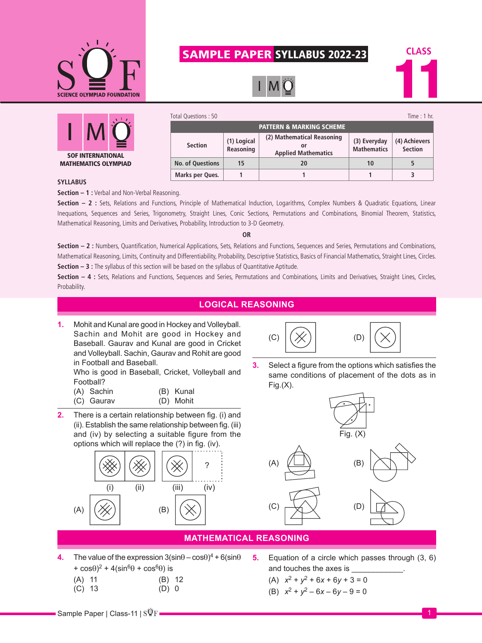

# SAMPLE PAPER SYLLABUS 2022-23

 $\mathsf{I}$  M





| Total Questions: 50                 |                          |                                                                |                                    | Time: $1$ hr.                   |  |
|-------------------------------------|--------------------------|----------------------------------------------------------------|------------------------------------|---------------------------------|--|
| <b>PATTERN &amp; MARKING SCHEME</b> |                          |                                                                |                                    |                                 |  |
| <b>Section</b>                      | (1) Logical<br>Reasoning | (2) Mathematical Reasoning<br>o٢<br><b>Applied Mathematics</b> | (3) Everyday<br><b>Mathematics</b> | (4) Achievers<br><b>Section</b> |  |
| <b>No. of Questions</b>             | 15                       | 20                                                             | 10                                 |                                 |  |
| Marks per Ques.                     |                          |                                                                |                                    | 3                               |  |

### **SYLLABUS**

**Section – 1 :** Verbal and Non-Verbal Reasoning.

**Section – 2 :** Sets, Relations and Functions, Principle of Mathematical Induction, Logarithms, Complex Numbers & Quadratic Equations, Linear Inequations, Sequences and Series, Trigonometry, Straight Lines, Conic Sections, Permutations and Combinations, Binomial Theorem, Statistics, Mathematical Reasoning, Limits and Derivatives, Probability, Introduction to 3-D Geometry.

#### **OR**

**Section – 2 :** Numbers, Quantification, Numerical Applications, Sets, Relations and Functions, Sequences and Series, Permutations and Combinations, Mathematical Reasoning, Limits, Continuity and Differentiability, Probability, Descriptive Statistics, Basics of Financial Mathematics, Straight Lines, Circles. **Section – 3 :** The syllabus of this section will be based on the syllabus of Quantitative Aptitude.

**Section – 4 :** Sets, Relations and Functions, Sequences and Series, Permutations and Combinations, Limits and Derivatives, Straight Lines, Circles, Probability.

## **LOGICAL REASONING**

**1.** Mohit and Kunal are good in Hockey and Volleyball. Sachin and Mohit are good in Hockey and Baseball. Gaurav and Kunal are good in Cricket and Volleyball. Sachin, Gaurav and Rohit are good in Football and Baseball.

Who is good in Baseball, Cricket, Volleyball and Football?

- (A) Sachin (B) Kunal (C) Gaurav (D) Mohit
- **2.** There is a certain relationship between fig. (i) and (ii). Establish the same relationship between fig. (iii) and (iv) by selecting a suitable figure from the





**3.** Select a figure from the options which satisfies the same conditions of placement of the dots as in  $Fig.(X).$ 



## **MATHEMATICAL REASONING**

- **4.** The value of the expression  $3(\sin\theta \cos\theta)^4 + 6(\sin\theta)$ +  $\cos\theta$ <sup>2</sup> + 4( $\sin^6\theta$  +  $\cos^6\theta$ ) is
	- (A) 11 (B) 12<br>(C) 13 (D) 0  $(C)$  13
		-

**5.** Equation of a circle which passes through (3, 6) and touches the axes is

(A) 
$$
x^2 + y^2 + 6x + 6y + 3 = 0
$$

(B)  $x^2 + y^2 - 6x - 6y - 9 = 0$